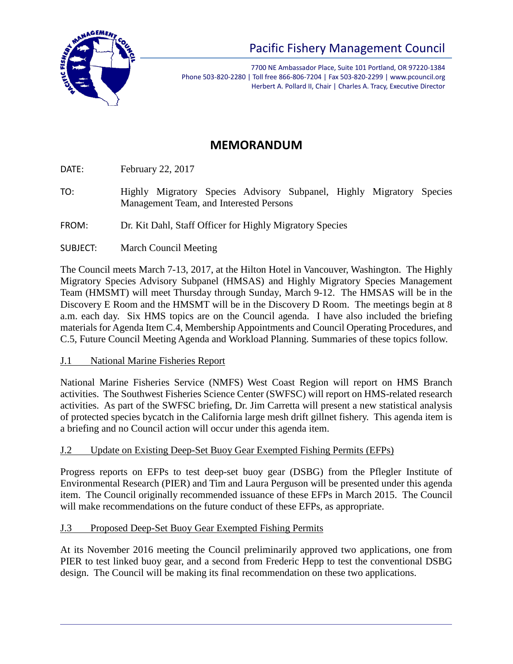

7700 NE Ambassador Place, Suite 101 Portland, OR 97220-1384 Phone 503-820-2280 | Toll free 866-806-7204 | Fax 503-820-2299 | www.pcouncil.org Herbert A. Pollard II, Chair | Charles A. Tracy, Executive Director

# **MEMORANDUM**

DATE: February 22, 2017

- TO: Highly Migratory Species Advisory Subpanel, Highly Migratory Species Management Team, and Interested Persons
- FROM: Dr. Kit Dahl, Staff Officer for Highly Migratory Species
- SUBJECT: March Council Meeting

The Council meets March 7-13, 2017, at the Hilton Hotel in Vancouver, Washington. The Highly Migratory Species Advisory Subpanel (HMSAS) and Highly Migratory Species Management Team (HMSMT) will meet Thursday through Sunday, March 9-12. The HMSAS will be in the Discovery E Room and the HMSMT will be in the Discovery D Room. The meetings begin at 8 a.m. each day. Six HMS topics are on the Council agenda. I have also included the briefing materials for Agenda Item C.4, Membership Appointments and Council Operating Procedures, and C.5, Future Council Meeting Agenda and Workload Planning. Summaries of these topics follow.

J.1 National Marine Fisheries Report

National Marine Fisheries Service (NMFS) West Coast Region will report on HMS Branch activities. The Southwest Fisheries Science Center (SWFSC) will report on HMS-related research activities. As part of the SWFSC briefing, Dr. Jim Carretta will present a new statistical analysis of protected species bycatch in the California large mesh drift gillnet fishery. This agenda item is a briefing and no Council action will occur under this agenda item.

J.2 Update on Existing Deep-Set Buoy Gear Exempted Fishing Permits (EFPs)

Progress reports on EFPs to test deep-set buoy gear (DSBG) from the Pflegler Institute of Environmental Research (PIER) and Tim and Laura Perguson will be presented under this agenda item. The Council originally recommended issuance of these EFPs in March 2015. The Council will make recommendations on the future conduct of these EFPs, as appropriate.

# J.3 Proposed Deep-Set Buoy Gear Exempted Fishing Permits

At its November 2016 meeting the Council preliminarily approved two applications, one from PIER to test linked buoy gear, and a second from Frederic Hepp to test the conventional DSBG design. The Council will be making its final recommendation on these two applications.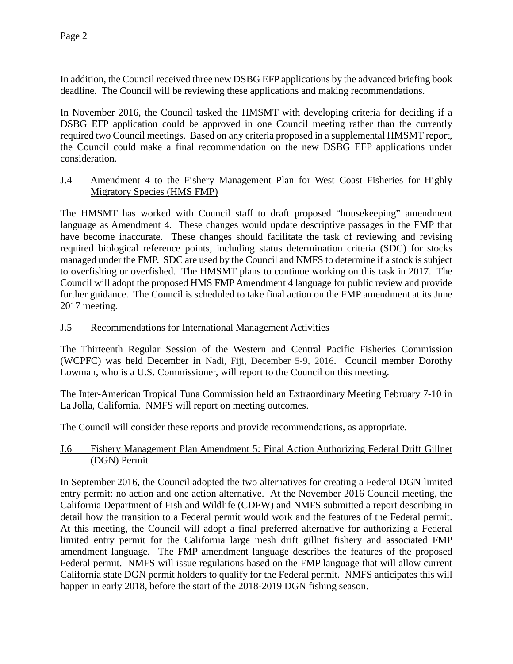In addition, the Council received three new DSBG EFP applications by the advanced briefing book deadline. The Council will be reviewing these applications and making recommendations.

In November 2016, the Council tasked the HMSMT with developing criteria for deciding if a DSBG EFP application could be approved in one Council meeting rather than the currently required two Council meetings. Based on any criteria proposed in a supplemental HMSMT report, the Council could make a final recommendation on the new DSBG EFP applications under consideration.

### J.4 Amendment 4 to the Fishery Management Plan for West Coast Fisheries for Highly Migratory Species (HMS FMP)

The HMSMT has worked with Council staff to draft proposed "housekeeping" amendment language as Amendment 4. These changes would update descriptive passages in the FMP that have become inaccurate. These changes should facilitate the task of reviewing and revising required biological reference points, including status determination criteria (SDC) for stocks managed under the FMP. SDC are used by the Council and NMFS to determine if a stock is subject to overfishing or overfished. The HMSMT plans to continue working on this task in 2017. The Council will adopt the proposed HMS FMP Amendment 4 language for public review and provide further guidance. The Council is scheduled to take final action on the FMP amendment at its June 2017 meeting.

## J.5 Recommendations for International Management Activities

The Thirteenth Regular Session of the Western and Central Pacific Fisheries Commission (WCPFC) was held December in Nadi, Fiji, December 5-9, 2016. Council member Dorothy Lowman, who is a U.S. Commissioner, will report to the Council on this meeting.

The Inter-American Tropical Tuna Commission held an Extraordinary Meeting February 7-10 in La Jolla, California. NMFS will report on meeting outcomes.

The Council will consider these reports and provide recommendations, as appropriate.

# J.6 Fishery Management Plan Amendment 5: Final Action Authorizing Federal Drift Gillnet (DGN) Permit

In September 2016, the Council adopted the two alternatives for creating a Federal DGN limited entry permit: no action and one action alternative. At the November 2016 Council meeting, the California Department of Fish and Wildlife (CDFW) and NMFS submitted a report describing in detail how the transition to a Federal permit would work and the features of the Federal permit. At this meeting, the Council will adopt a final preferred alternative for authorizing a Federal limited entry permit for the California large mesh drift gillnet fishery and associated FMP amendment language. The FMP amendment language describes the features of the proposed Federal permit. NMFS will issue regulations based on the FMP language that will allow current California state DGN permit holders to qualify for the Federal permit. NMFS anticipates this will happen in early 2018, before the start of the 2018-2019 DGN fishing season.